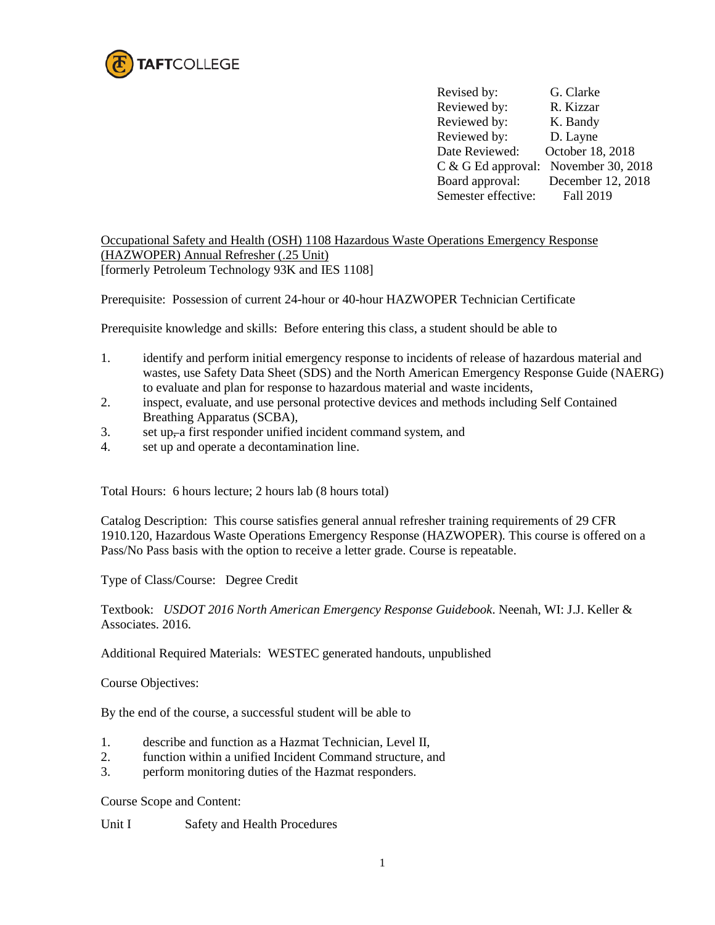

Revised by: G. Clarke Reviewed by: R. Kizzar Reviewed by: K. Bandy Reviewed by: D. Layne Date Reviewed: October 18, 2018 C & G Ed approval: November 30, 2018<br>Board approval: December 12, 2018 December 12, 2018 Semester effective: Fall 2019

Occupational Safety and Health (OSH) 1108 Hazardous Waste Operations Emergency Response (HAZWOPER) Annual Refresher (.25 Unit) [formerly Petroleum Technology 93K and IES 1108]

Prerequisite: Possession of current 24-hour or 40-hour HAZWOPER Technician Certificate

Prerequisite knowledge and skills: Before entering this class, a student should be able to

- 1. identify and perform initial emergency response to incidents of release of hazardous material and wastes, use Safety Data Sheet (SDS) and the North American Emergency Response Guide (NAERG) to evaluate and plan for response to hazardous material and waste incidents,
- 2. inspect, evaluate, and use personal protective devices and methods including Self Contained Breathing Apparatus (SCBA),
- 3. set up, a first responder unified incident command system, and
- 4. set up and operate a decontamination line.

Total Hours: 6 hours lecture; 2 hours lab (8 hours total)

Catalog Description: This course satisfies general annual refresher training requirements of 29 CFR 1910.120, Hazardous Waste Operations Emergency Response (HAZWOPER)*.* This course is offered on a Pass/No Pass basis with the option to receive a letter grade. Course is repeatable.

Type of Class/Course: Degree Credit

Textbook: *USDOT 2016 North American Emergency Response Guidebook*. Neenah, WI: J.J. Keller & Associates. 2016.

Additional Required Materials: WESTEC generated handouts, unpublished

Course Objectives:

By the end of the course, a successful student will be able to

- 1. describe and function as a Hazmat Technician, Level II,
- 2. function within a unified Incident Command structure, and
- 3. perform monitoring duties of the Hazmat responders.

Course Scope and Content:

Unit I Safety and Health Procedures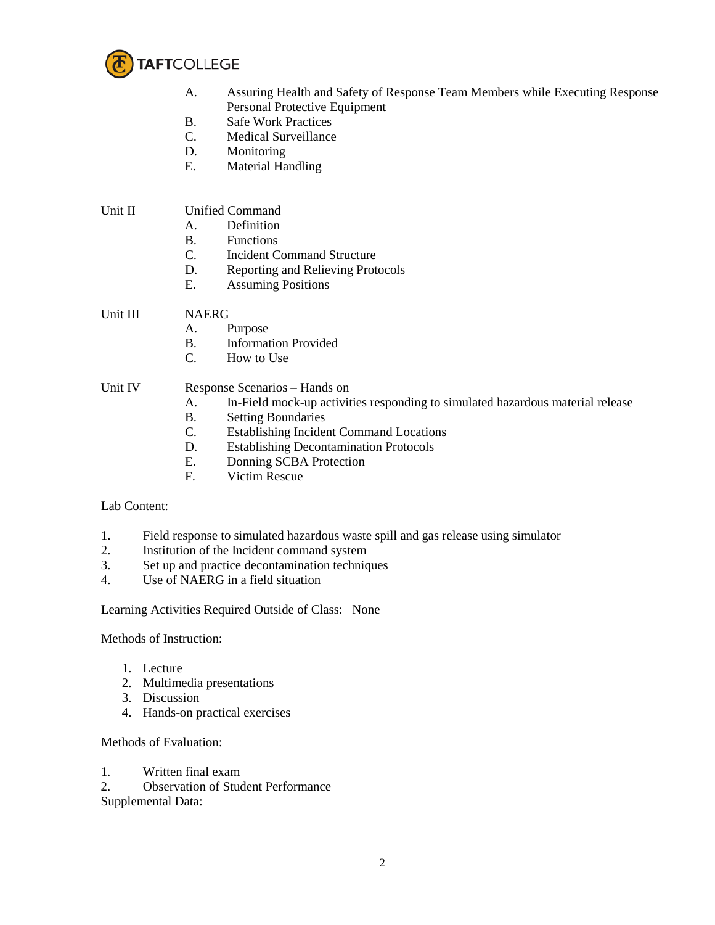

- A. Assuring Health and Safety of Response Team Members while Executing Response Personal Protective Equipment
- B. Safe Work Practices
- C. Medical Surveillance
- D. Monitoring
- E. Material Handling

## Unit II Unified Command

- A. Definition
- B. Functions
- C. Incident Command Structure
- D. Reporting and Relieving Protocols
- E. Assuming Positions

## Unit III NAERG

- A. Purpose
- B. Information Provided
- C. How to Use

## Unit IV Response Scenarios – Hands on

- A. In-Field mock-up activities responding to simulated hazardous material release
- B. Setting Boundaries<br>C. Establishing Inciden
- Establishing Incident Command Locations
- D. Establishing Decontamination Protocols
- E. Donning SCBA Protection
- F. Victim Rescue

## Lab Content:

- 1. Field response to simulated hazardous waste spill and gas release using simulator
- 2. Institution of the Incident command system
- 3. Set up and practice decontamination techniques
- 4. Use of NAERG in a field situation

Learning Activities Required Outside of Class: None

Methods of Instruction:

- 1. Lecture
- 2. Multimedia presentations
- 3. Discussion
- 4. Hands-on practical exercises

Methods of Evaluation:

- 1. Written final exam
- 2. Observation of Student Performance

Supplemental Data: